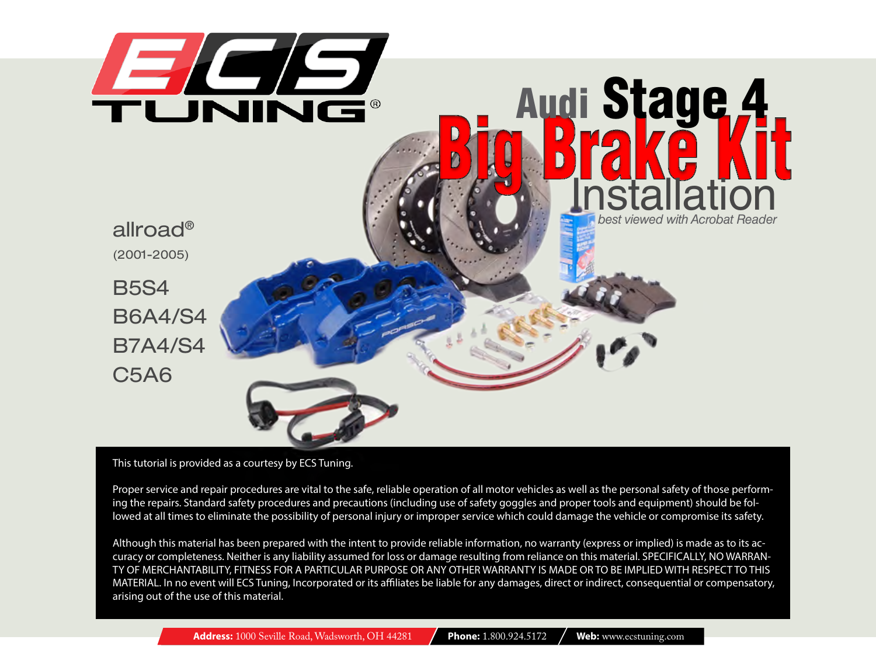

#### This tutorial is provided as a courtesy by ECS Tuning.

Proper service and repair procedures are vital to the safe, reliable operation of all motor vehicles as well as the personal safety of those performing the repairs. Standard safety procedures and precautions (including use of safety goggles and proper tools and equipment) should be followed at all times to eliminate the possibility of personal injury or improper service which could damage the vehicle or compromise its safety.

Although this material has been prepared with the intent to provide reliable information, no warranty (express or implied) is made as to its accuracy or completeness. Neither is any liability assumed for loss or damage resulting from reliance on this material. SPECIFICALLY, NO WARRAN-TY OF MERCHANTABILITY, FITNESS FOR A PARTICULAR PURPOSE OR ANY OTHER WARRANTY IS MADE OR TO BE IMPLIED WITH RESPECT TO THIS MATERIAL. In no event will ECS Tuning, Incorporated or its affiliates be liable for any damages, direct or indirect, consequential or compensatory, arising out of the use of this material.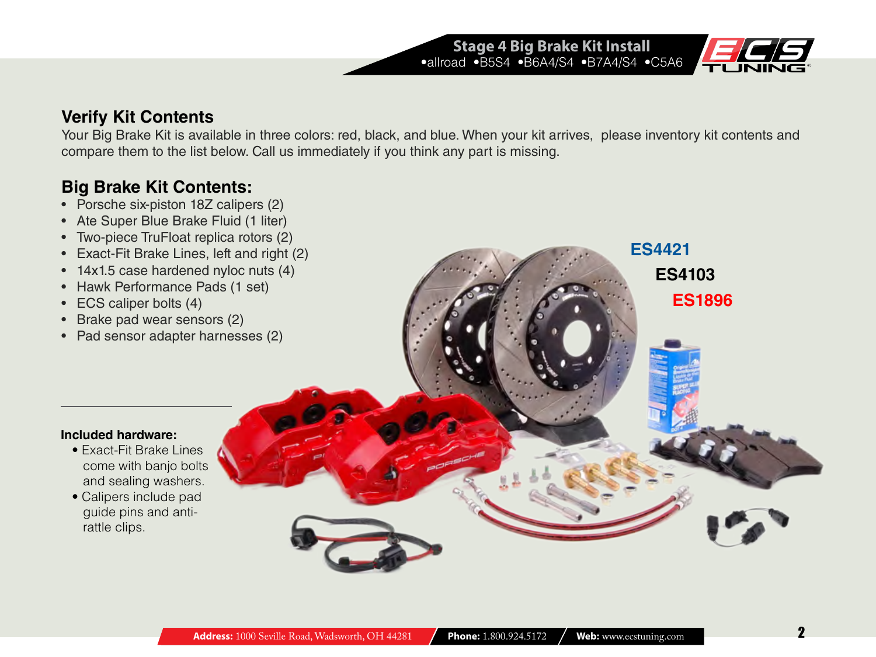

**[ES4421](http://www.ecstuning.com/ES4421/?utm_source=PDF&utm_campaign=BBK Stage 4 blue)**

**[ES4103](http://www.ecstuning.com/ES4103/?utm_source=PDF&utm_campaign=BBK Stage 4 black)**

**[ES1896](http://www.ecstuning.com/ES1896/?utm_source=PDF&utm_campaign=BBK Stage4 red)**

## **Verify Kit Contents**

Your Big Brake Kit is available in three colors: red, black, and blue. When your kit arrives, please inventory kit contents and compare them to the list below. Call us immediately if you think any part is missing.

**Stage 4 Big Brake Kit Install** •allroad •B5S4 •B6A4/S4 •B7A4/S4 •C5A6

# **Big Brake Kit Contents:**

- Porsche six-piston 18Z calipers (2)
- Ate Super Blue Brake Fluid (1 liter)
- Two-piece TruFloat replica rotors (2)
- Exact-Fit Brake Lines, left and right (2)
- 14x1.5 case hardened nyloc nuts (4)
- Hawk Performance Pads (1 set)
- ECS caliper bolts (4)
- Brake pad wear sensors (2)
- Pad sensor adapter harnesses (2)

#### **Included hardware:**

- Exact-Fit Brake Lines come with banjo bolts and sealing washers.
- Calipers include pad guide pins and antirattle clips.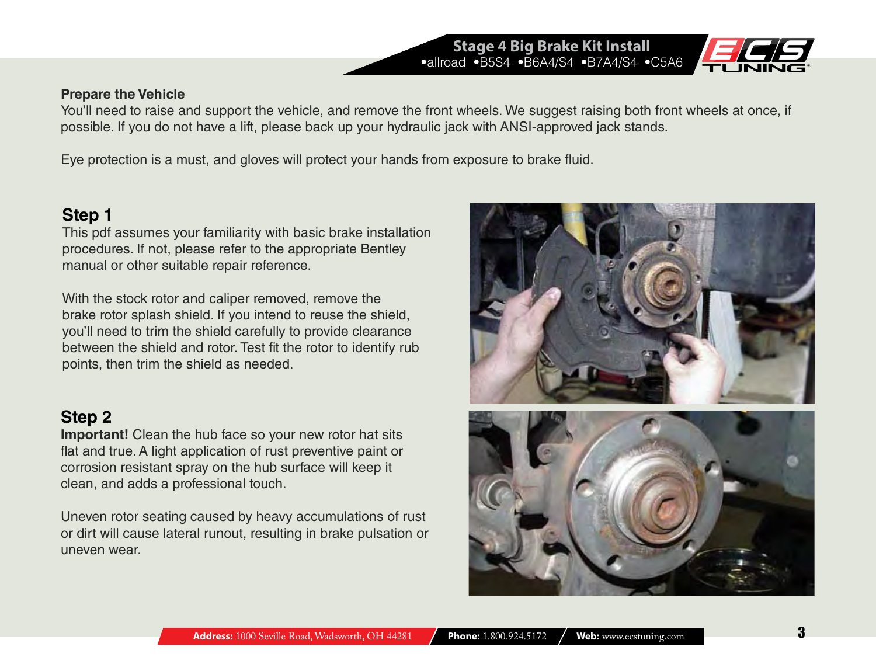#### **Prepare the Vehicle**

You'll need to raise and support the vehicle, and remove the front wheels. We suggest raising both front wheels at once, if possible. If you do not have a lift, please back up your hydraulic jack with ANSI-approved jack stands.

**Stage 4 Big Brake Kit Install** •allroad •B5S4 •B6A4/S4 •B7A4/S4 •C5A6

Eye protection is a must, and gloves will protect your hands from exposure to brake fluid.

## **Step 1**

This pdf assumes your familiarity with basic brake installation procedures. If not, please refer to the appropriate Bentley manual or other suitable repair reference.

With the stock rotor and caliper removed, remove the brake rotor splash shield. If you intend to reuse the shield, you'll need to trim the shield carefully to provide clearance between the shield and rotor. Test fit the rotor to identify rub points, then trim the shield as needed.

## **Step 2**

**Important!** Clean the hub face so your new rotor hat sits flat and true. A light application of rust preventive paint or corrosion resistant spray on the hub surface will keep it clean, and adds a professional touch.

Uneven rotor seating caused by heavy accumulations of rust or dirt will cause lateral runout, resulting in brake pulsation or uneven wear.



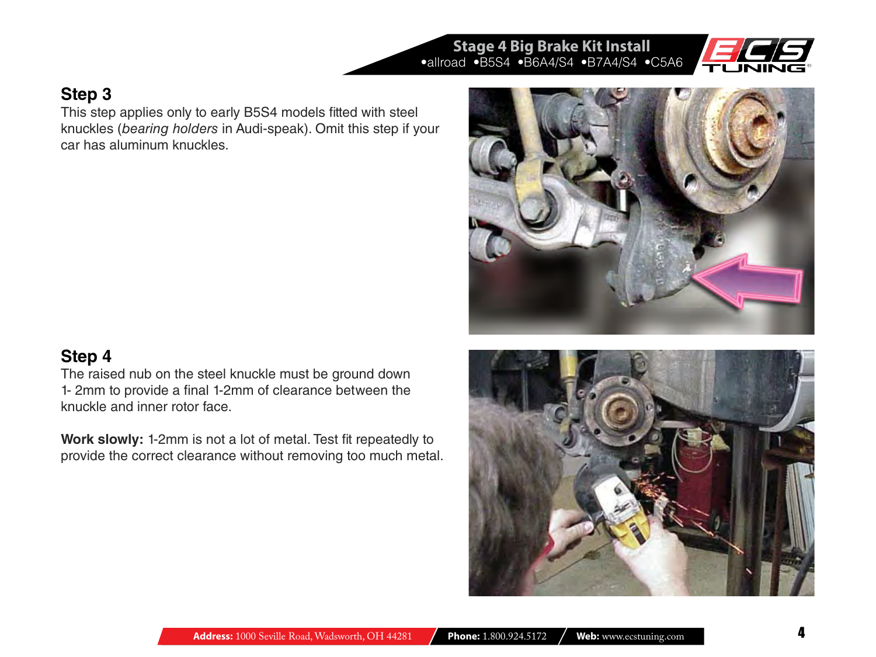**Step 3**

This step applies only to early B5S4 models fitted with steel knuckles (*bearing holders* in Audi-speak). Omit this step if your car has aluminum knuckles.

## **Step 4**

The raised nub on the steel knuckle must be ground down 1- 2mm to provide a final 1-2mm of clearance between the knuckle and inner rotor face.

**Work slowly:** 1-2mm is not a lot of metal. Test fit repeatedly to provide the correct clearance without removing too much metal.



**Stage 4 Big Brake Kit Install**



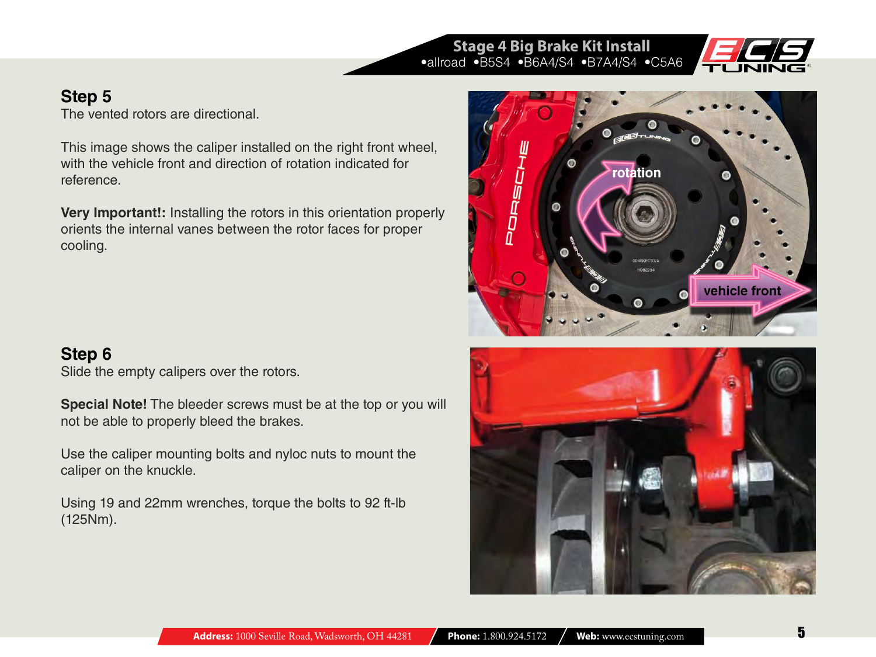## **Stage 4 Big Brake Kit Install** •allroad •B5S4 •B6A4/S4 •B7A4/S4 •C5A6



## **Step 5**

The vented rotors are directional.

This image shows the caliper installed on the right front wheel, with the vehicle front and direction of rotation indicated for reference.

**Very Important!:** Installing the rotors in this orientation properly orients the internal vanes between the rotor faces for proper cooling.

# **Step 6**

Slide the empty calipers over the rotors.

**Special Note!** The bleeder screws must be at the top or you will not be able to properly bleed the brakes.

Use the caliper mounting bolts and nyloc nuts to mount the caliper on the knuckle.

Using 19 and 22mm wrenches, torque the bolts to 92 ft-lb (125Nm).



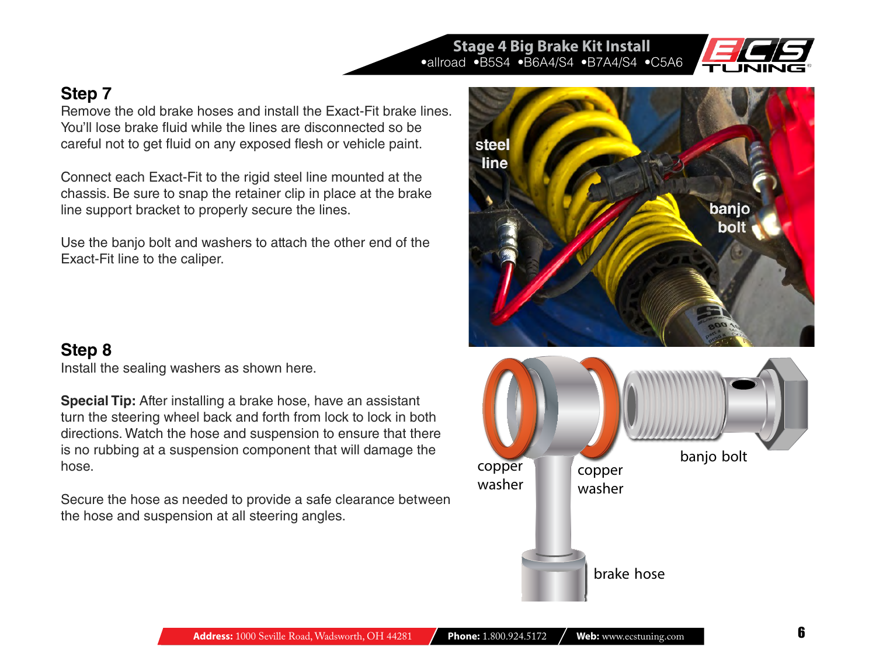

## **Step 7**

Remove the old brake hoses and install the Exact-Fit brake lines. You'll lose brake fluid while the lines are disconnected so be careful not to get fluid on any exposed flesh or vehicle paint.

Connect each Exact-Fit to the rigid steel line mounted at the chassis. Be sure to snap the retainer clip in place at the brake line support bracket to properly secure the lines.

Use the banjo bolt and washers to attach the other end of the Exact-Fit line to the caliper.

## **Step 8**

Install the sealing washers as shown here.

**Special Tip:** After installing a brake hose, have an assistant turn the steering wheel back and forth from lock to lock in both directions. Watch the hose and suspension to ensure that there is no rubbing at a suspension component that will damage the hose.

Secure the hose as needed to provide a safe clearance between the hose and suspension at all steering angles.



**Stage 4 Big Brake Kit Install** •allroad •B5S4 •B6A4/S4 •B7A4/S4 •C5A6

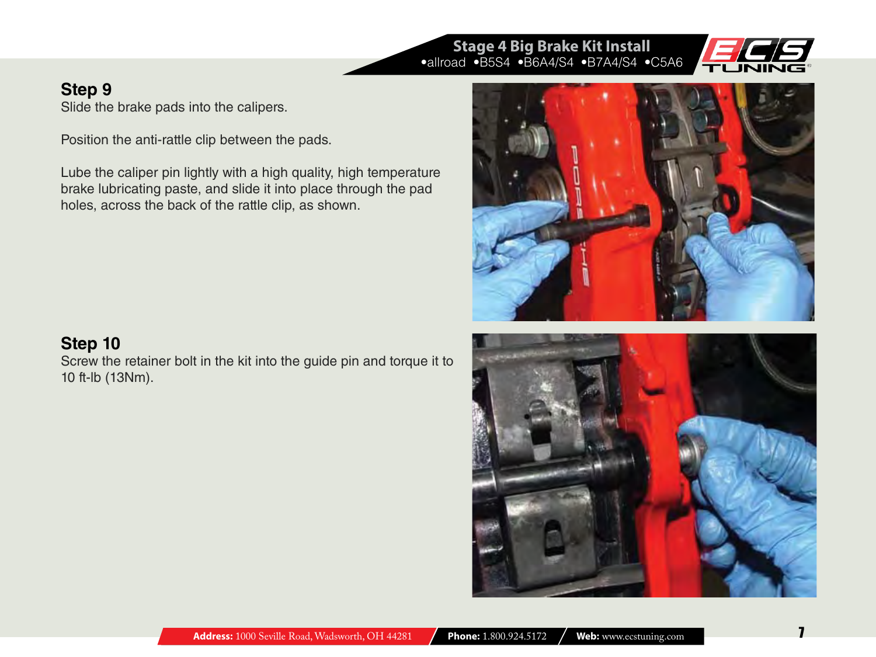#### **Stage 4 Big Brake Kit Install** •allroad •B5S4 •B6A4/S4 •B7A4/S4 •C5A6



## **Step 9**

Slide the brake pads into the calipers.

Position the anti-rattle clip between the pads.

Lube the caliper pin lightly with a high quality, high temperature brake lubricating paste, and slide it into place through the pad holes, across the back of the rattle clip, as shown.



Screw the retainer bolt in the kit into the guide pin and torque it to 10 ft-lb (13Nm).



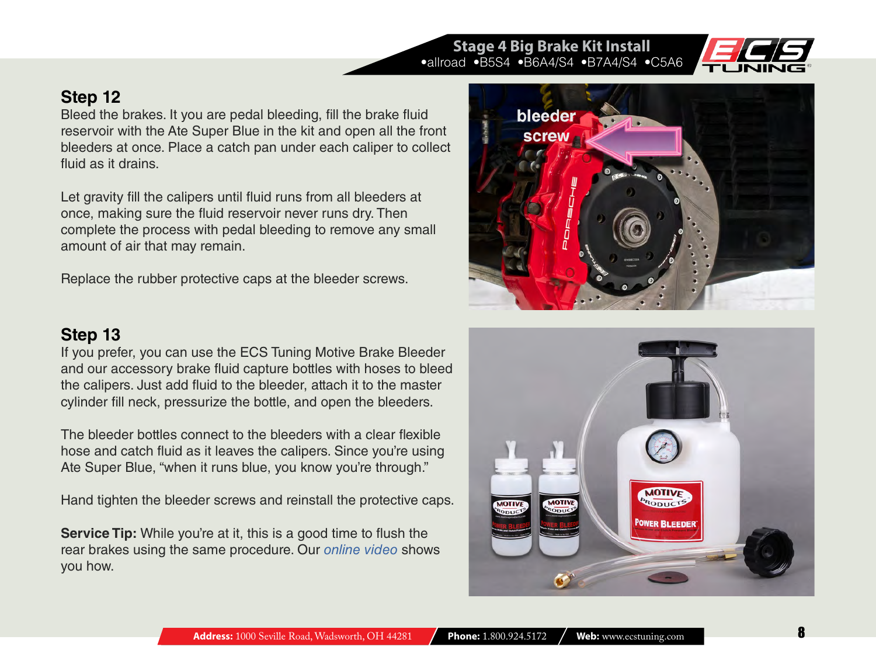#### reservoir with the Ate Super Blue in the kit and open all the front **screw** bleeders at once. Place a catch pan under each caliper to collect

Let gravity fill the calipers until fluid runs from all bleeders at once, making sure the fluid reservoir never runs dry. Then complete the process with pedal bleeding to remove any small amount of air that may remain.

Bleed the brakes. It you are pedal bleeding, fill the brake fluid

Replace the rubber protective caps at the bleeder screws.

### **Step 13**

**Step 12**

fluid as it drains.

If you prefer, you can use the ECS Tuning Motive Brake Bleeder and our accessory brake fluid capture bottles with hoses to bleed the calipers. Just add fluid to the bleeder, attach it to the master cylinder fill neck, pressurize the bottle, and open the bleeders.

The bleeder bottles connect to the bleeders with a clear flexible hose and catch fluid as it leaves the calipers. Since you're using Ate Super Blue, "when it runs blue, you know you're through."

Hand tighten the bleeder screws and reinstall the protective caps.

**Service Tip:** While you're at it, this is a good time to flush the rear brakes using the same procedure. Our *[online video](http://www.ecstuning.com/Search/SiteSearch/Motive/ES3474/Video247-HD/)* shows you how.







**Stage 4 Big Brake Kit Install** •allroad •B5S4 •B6A4/S4 •B7A4/S4 •C5A6